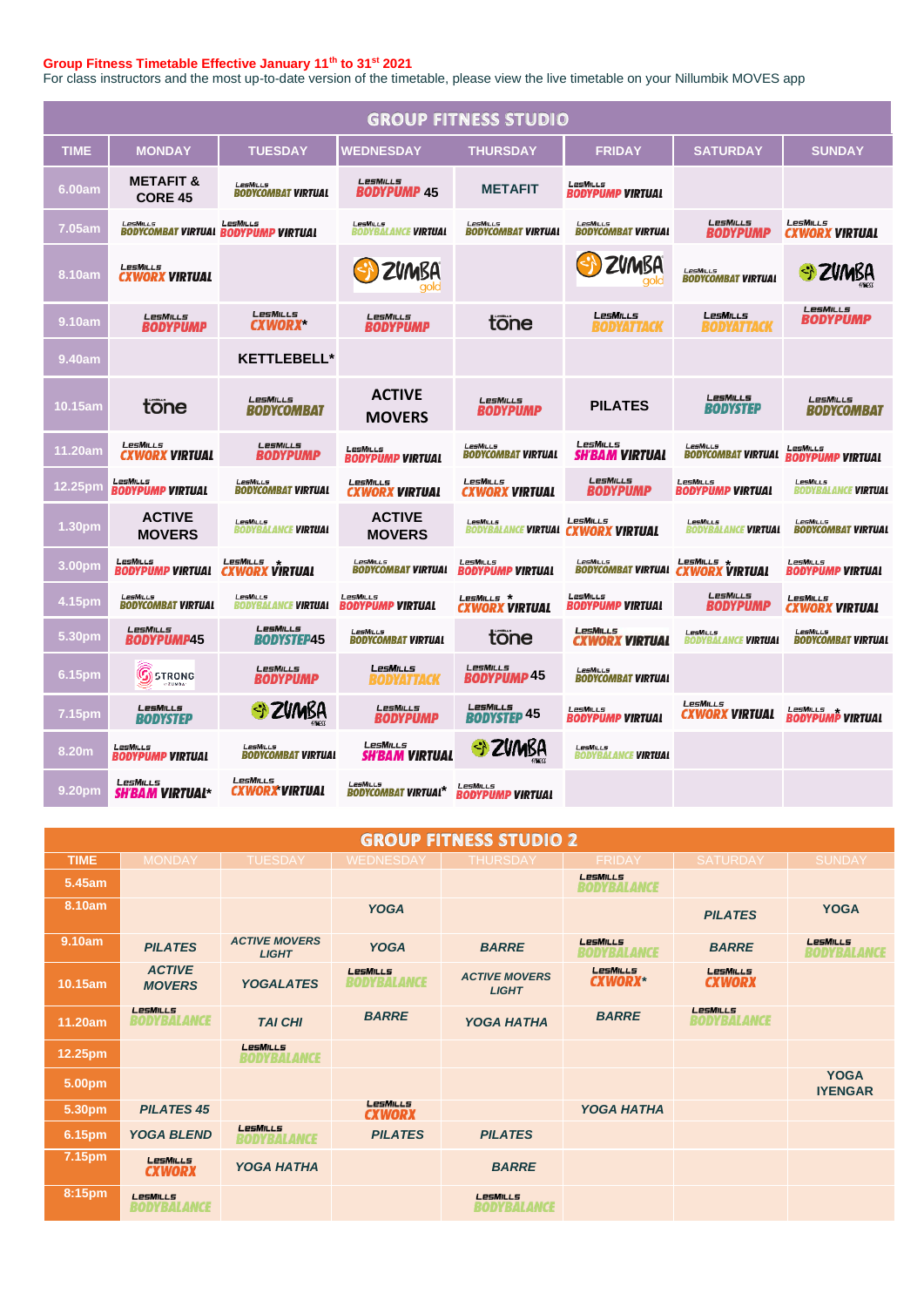## **Group Fitness Timetable Effective January 11th to 31st 2021**

For class instructors and the most up-to-date version of the timetable, please view the live timetable on your Nillumbik MOVES app

| <b>GROUP FITNESS STUDIO</b> |                                           |                                                        |                                               |                                              |                                                        |                                               |                                                 |  |
|-----------------------------|-------------------------------------------|--------------------------------------------------------|-----------------------------------------------|----------------------------------------------|--------------------------------------------------------|-----------------------------------------------|-------------------------------------------------|--|
| TIME                        | <b>MONDAY</b>                             | <b>TUESDAY</b>                                         | <b>WEDNESDAY</b>                              | <b>THURSDAY</b>                              | <b>FRIDAY</b>                                          | <b>SATURDAY</b>                               | <b>SUNDAY</b>                                   |  |
| 6.00am                      | <b>METAFIT &amp;</b><br><b>CORE 45</b>    | LesMILLs<br><b>BODYCOMBAT VIRTUAL</b>                  | <b>LesMILLS</b><br><b>BODYPUMP 45</b>         | <b>METAFIT</b>                               | LesMills<br><b>BODYPUMP VIRTUAL</b>                    |                                               |                                                 |  |
| 7.05am                      | LesMills                                  | LesMills<br><b>BODYCOMBAT VIRTUAL BODYPUMP VIRTUAL</b> | <b>LesMiLLs</b><br><b>BODYBALANCE VIRTUAL</b> | <b>LesMILLs</b><br><b>BODYCOMBAT VIRTUAL</b> | LesMILLs<br><b>BODYCOMBAT VIRTUAL</b>                  | <b>LesMILLS</b><br><b>BODYPUMP</b>            | LesMILLS<br><b>CXWORX VIRTUAL</b>               |  |
| 8.10am                      | LesMILLS<br><b>CXWORX VIRTUAL</b>         |                                                        | ZVMBA                                         |                                              | ZVMBA                                                  | LesMiLLs<br><b>BODYCOMBAT VIRTUAL</b>         | ZVMBA                                           |  |
| 9.10am                      | <b>LesMiLLs</b><br><b>BODYPUMP</b>        | <b>LesMILLs</b><br><b>CXWORX</b>                       | LesMills<br><b>BODYPUMP</b>                   | tone                                         | <b>LESMILLS</b><br>BUDYATTACK                          | <b>LESMILLS</b><br>BODYATTACK                 | LesMills<br>BODYPUMP                            |  |
| 9.40am                      |                                           | <b>KETTLEBELL*</b>                                     |                                               |                                              |                                                        |                                               |                                                 |  |
| 10.15am                     | tone                                      | LesMILLS<br>BODYCOMBAT                                 | <b>ACTIVE</b><br><b>MOVERS</b>                | LesMILLS<br><b>BODYPUMP</b>                  | <b>PILATES</b>                                         | <b>LesMILLS</b><br><b>BODYSTEP</b>            | LesMILLS<br>BODYCOMBAT                          |  |
| 11.20am                     | LesMills<br><b>CXWORX VIRTUAL</b>         | <b>LesMILLS</b><br><b>BODYPUMP</b>                     | LesMiLLs<br><b>BODYPUMP VIRTUAL</b>           | <b>LesMILLs</b><br><b>BODYCOMBAT VIRTUAL</b> | LesMills<br><b>SH'BAM VIRTUAL</b>                      | LesMILLs<br>BODYCOMBAT VIRTUAL                | LesMills<br><i><b>BODYPUMP VIRTUAL</b></i>      |  |
| 12.25pm                     | LesMills<br><b>BODYPUMP VIRTUAL</b>       | LesMills<br><b>BODYCOMBAT VIRTUAL</b>                  | LesMILLS<br><b>CXWORX VIRTUAL</b>             | <b>LesMILLS</b><br><b>CXWORX VIRTUAL</b>     | LesMILLs<br>BODYPUMP                                   | LesMills<br><b>BODYPUMP VIRTUAL</b>           | LesMills<br>BODYBALANCE <b>VIRTUAL</b>          |  |
| 1.30 <sub>pm</sub>          | <b>ACTIVE</b><br><b>MOVERS</b>            | <b>LesMiLLs</b><br><b>BODYBALANCE VIRTUAL</b>          | <b>ACTIVE</b><br><b>MOVERS</b>                | <b>LesMiLLs</b>                              | LesMILLs<br>BODYBALANCE <b>VIRTUAL  CXWORX VIRTUAL</b> | <b>LesMiLLs</b><br><b>BODYBALANCE VIRTUAL</b> | LesMILLs<br><b>BODYCOMBAT VIRTUAL</b>           |  |
| 3.00pm                      | LesMills<br><b>BODYPUMP VIRTUAL</b>       | LesMILLS<br><b><i>VIRTUAL</i></b><br><b>CXWO</b>       | LesMILLS<br><b>BODYCOMBAT VIRTUAL</b>         | LesMills<br><b>BODYPUMP VIRTUAL</b>          | $I$ $PSMII$ $I$ $S$<br><b>BODYCOMBAT VIRTUAL</b>       | LesMills *<br><b>CXWORX VIRTUAL</b>           | LesMills<br><b>BODYPUMP VIRTUAL</b>             |  |
| 4.15pm                      | LesMILLS<br><b>BODYCOMBAT VIRTUAL</b>     | LesMiLLs<br><b>BODYBALANCE VIRTUAL</b>                 | LesMiLLs<br><b>BODYPUMP VIRTUAL</b>           | LesMills *<br><b>CXWORX VIRTUAL</b>          | LesMILLs<br><b>BODYPUMP VIRTUAL</b>                    | <b>LesMILLs</b><br>BODYPUMP                   | LesMills<br><b>CXWORX VIRTUAL</b>               |  |
| 5.30pm                      | LesMills<br><b>BODYPUMP45</b>             | LesMILLs<br>BODYSTEP45                                 | LesMILLS<br><b>BODYCOMBAT VIRTUAL</b>         | tone                                         | <b>LesMILLS</b><br><b>CXWORX VIRTUAL</b>               | <b>LesMILLS</b><br>BODYBALANCE <b>VIRTUAL</b> | LesMiLLS<br><b>BODYCOMBAT VIRTUAL</b>           |  |
| 6.15pm                      | $\mathbb{G}$<br><b>STRONG</b><br>$-20MBA$ | <b>LesMILLS</b><br><i><b>BODYPUMP</b></i>              | <b>LESMILLS</b><br>BODYATTACK                 | LesMills<br><b>BODYPUMP 45</b>               | $I$ $PSMII$ $I$ $S$<br><b>BODYCOMBAT VIRTUAL</b>       |                                               |                                                 |  |
| 7.15pm                      | LesMILLs<br>RODYSTEP                      | S ZVMBA                                                | LesMILLS<br>BODYPUMP                          | LesMILLs<br><b>BODYSTEP 45</b>               | LesMills<br><b>BODYPUMP VIRTUAL</b>                    | LesMills<br><b>CXWORX VIRTUAL</b>             | LesMills<br>LESMILLS<br><b>BODYPUMP VIRTUAL</b> |  |
| 8.20m                       | LesMills<br><b>BODYPUMP VIRTUAL</b>       | LesMills<br><b>BODYCOMBAT VIRTUAL</b>                  | <b>LesMILLs</b><br><b>SH'BAM VIRTUAL</b>      | St ZVMBA                                     | LesMills<br><b>BODYBALANCE VIRTUAL</b>                 |                                               |                                                 |  |
| 9.20pm                      | LesMills<br><i><b>SH'BAM VIRTUAL*</b></i> | LesMills<br><b>CXWORX VIRTUAL</b>                      | <b>LPSMILLS</b><br><b>BODYCOMBAT VIRTUAL*</b> | LesMILLS<br><b>BODYPUMP VIRTUAL</b>          |                                                        |                                               |                                                 |  |

| <b>GROUP FITNESS STUDIO 2</b> |                                       |                                       |                                       |                                      |                                |                                |                                |  |
|-------------------------------|---------------------------------------|---------------------------------------|---------------------------------------|--------------------------------------|--------------------------------|--------------------------------|--------------------------------|--|
| <b>TIME</b>                   | <b>MONDAY</b>                         | <b>TUESDAY</b>                        | <b>WEDNESDAY</b>                      | <b>THURSDAY</b>                      | <b>FRIDAY</b>                  | <b>SATURDAY</b>                | <b>SUNDAY</b>                  |  |
| 5.45am                        |                                       |                                       |                                       |                                      | LesMILLs<br><b>BODYBALANCE</b> |                                |                                |  |
| 8.10am                        |                                       |                                       | <b>YOGA</b>                           |                                      |                                | <b>PILATES</b>                 | <b>YOGA</b>                    |  |
| 9.10am                        | <b>PILATES</b>                        | <b>ACTIVE MOVERS</b><br><b>LIGHT</b>  | <b>YOGA</b>                           | <b>BARRE</b>                         | LesMILLs<br>BODYBALANCE        | <b>BARRE</b>                   | LesMILLs<br><b>BODYBALANCE</b> |  |
| 10.15am                       | <b>ACTIVE</b><br><b>MOVERS</b>        | <b>YOGALATES</b>                      | <b>LesMILLS</b><br><b>BODYBALANCE</b> | <b>ACTIVE MOVERS</b><br><b>LIGHT</b> | LesMILLS<br><b>CXWORX*</b>     | LesMILLs<br><b>CXWORX</b>      |                                |  |
| 11.20am                       | <b>LesMILLS</b><br><b>BODYBALANCE</b> | <b>TAI CHI</b>                        | <b>BARRE</b>                          | <b>YOGA HATHA</b>                    | <b>BARRE</b>                   | LesMills<br><b>BODYBALANCE</b> |                                |  |
| 12.25pm                       |                                       | <b>LesMILLS</b><br><b>BODYBALANCE</b> |                                       |                                      |                                |                                |                                |  |
| 5.00pm                        |                                       |                                       |                                       |                                      |                                |                                | <b>YOGA</b><br><b>IYENGAR</b>  |  |
| 5.30pm                        | <b>PILATES 45</b>                     |                                       | <b>LesMILLS</b><br><b>CXWORX</b>      |                                      | <b>YOGA HATHA</b>              |                                |                                |  |
| 6.15pm                        | <b>YOGA BLEND</b>                     | LesMills<br><b>BODYBALANCE</b>        | <b>PILATES</b>                        | <b>PILATES</b>                       |                                |                                |                                |  |
| 7.15pm                        | LesMILLS<br><b>CXWORX</b>             | <b>YOGA HATHA</b>                     |                                       | <b>BARRE</b>                         |                                |                                |                                |  |
| 8:15pm                        | <b>LesMILLs</b><br>BODYBALANCE        |                                       |                                       | <b>LesMILLS</b><br>BODYBALANCE       |                                |                                |                                |  |